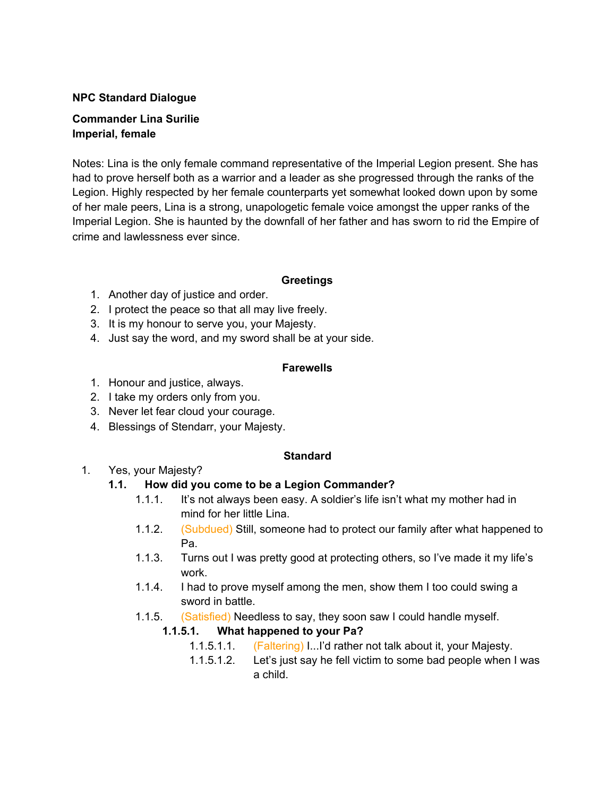#### **NPC Standard Dialogue**

#### **Commander Lina Surilie Imperial, female**

Notes: Lina is the only female command representative of the Imperial Legion present. She has had to prove herself both as a warrior and a leader as she progressed through the ranks of the Legion. Highly respected by her female counterparts yet somewhat looked down upon by some of her male peers, Lina is a strong, unapologetic female voice amongst the upper ranks of the Imperial Legion. She is haunted by the downfall of her father and has sworn to rid the Empire of crime and lawlessness ever since.

#### **Greetings**

- 1. Another day of justice and order.
- 2. I protect the peace so that all may live freely.
- 3. It is my honour to serve you, your Majesty.
- 4. Just say the word, and my sword shall be at your side.

#### **Farewells**

- 1. Honour and justice, always.
- 2. I take my orders only from you.
- 3. Never let fear cloud your courage.
- 4. Blessings of Stendarr, your Majesty.

#### **Standard**

1. Yes, your Majesty?

#### **1.1. How did you come to be a Legion Commander?**

- 1.1.1. It's not always been easy. A soldier's life isn't what my mother had in mind for her little Lina.
- 1.1.2. (Subdued) Still, someone had to protect our family after what happened to Pa.
- 1.1.3. Turns out I was pretty good at protecting others, so I've made it my life's work.
- 1.1.4. I had to prove myself among the men, show them I too could swing a sword in battle.
- 1.1.5. (Satisfied) Needless to say, they soon saw I could handle myself.

## **1.1.5.1. What happened to your Pa?**

- 1.1.5.1.1. (Faltering) I...I'd rather not talk about it, your Majesty.
- 1.1.5.1.2. Let's just say he fell victim to some bad people when I was a child.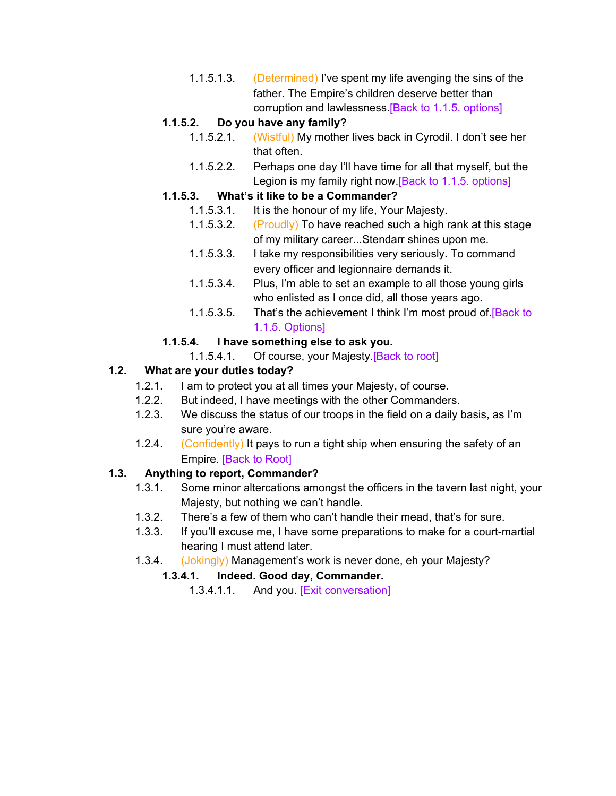1.1.5.1.3. (Determined) I've spent my life avenging the sins of the father. The Empire's children deserve better than corruption and lawlessness. [Back to 1.1.5. options]

## **1.1.5.2. Do you have any family?**

- 1.1.5.2.1. (Wistful) My mother lives back in Cyrodil. I don't see her that often.
- 1.1.5.2.2. Perhaps one day I'll have time for all that myself, but the Legion is my family right now.[Back to 1.1.5. options]

# **1.1.5.3. What's it like to be a Commander?**

- 1.1.5.3.1. It is the honour of my life, Your Majesty.
- 1.1.5.3.2. (Proudly) To have reached such a high rank at this stage of my military career...Stendarr shines upon me.
- 1.1.5.3.3. I take my responsibilities very seriously. To command every officer and legionnaire demands it.
- 1.1.5.3.4. Plus, I'm able to set an example to all those young girls who enlisted as I once did, all those years ago.
- 1.1.5.3.5. That's the achievement I think I'm most proud of **[Back to**] 1.1.5. Options]

# **1.1.5.4. I have something else to ask you.**

1.1.5.4.1. Of course, your Majesty.[Back to root]

# **1.2. What are your duties today?**

- 1.2.1. I am to protect you at all times your Majesty, of course.
- 1.2.2. But indeed, I have meetings with the other Commanders.
- 1.2.3. We discuss the status of our troops in the field on a daily basis, as I'm sure you're aware.
- 1.2.4. (Confidently) It pays to run a tight ship when ensuring the safety of an Empire. [Back to Root]

## **1.3. Anything to report, Commander?**

- 1.3.1. Some minor altercations amongst the officers in the tavern last night, your Majesty, but nothing we can't handle.
- 1.3.2. There's a few of them who can't handle their mead, that's for sure.
- 1.3.3. If you'll excuse me, I have some preparations to make for a court-martial hearing I must attend later.
- 1.3.4. (Jokingly) Management's work is never done, eh your Majesty?

## **1.3.4.1. Indeed. Good day, Commander.**

1.3.4.1.1. And you. [Exit conversation]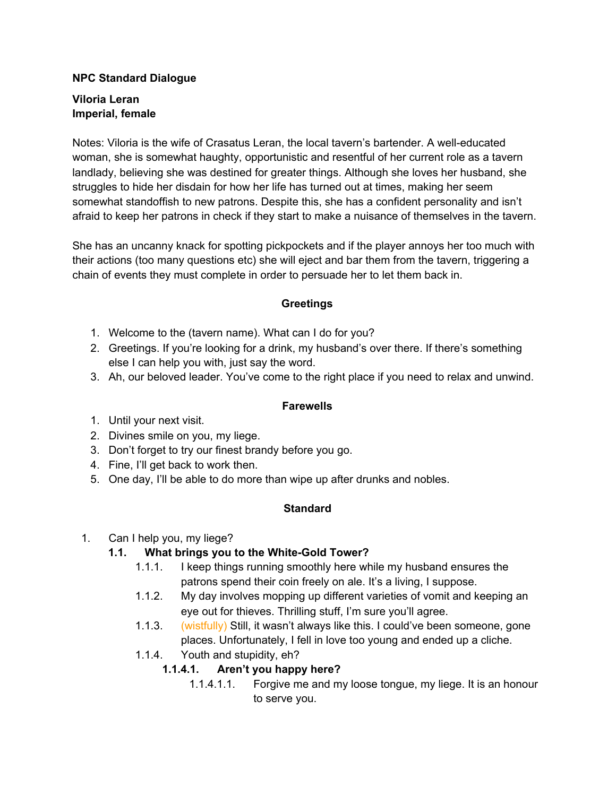#### **NPC Standard Dialogue**

#### **Viloria Leran Imperial, female**

Notes: Viloria is the wife of Crasatus Leran, the local tavern's bartender. A well-educated woman, she is somewhat haughty, opportunistic and resentful of her current role as a tavern landlady, believing she was destined for greater things. Although she loves her husband, she struggles to hide her disdain for how her life has turned out at times, making her seem somewhat standoffish to new patrons. Despite this, she has a confident personality and isn't afraid to keep her patrons in check if they start to make a nuisance of themselves in the tavern.

She has an uncanny knack for spotting pickpockets and if the player annoys her too much with their actions (too many questions etc) she will eject and bar them from the tavern, triggering a chain of events they must complete in order to persuade her to let them back in.

#### **Greetings**

- 1. Welcome to the (tavern name). What can I do for you?
- 2. Greetings. If you're looking for a drink, my husband's over there. If there's something else I can help you with, just say the word.
- 3. Ah, our beloved leader. You've come to the right place if you need to relax and unwind.

#### **Farewells**

- 1. Until your next visit.
- 2. Divines smile on you, my liege.
- 3. Don't forget to try our finest brandy before you go.
- 4. Fine, I'll get back to work then.
- 5. One day, I'll be able to do more than wipe up after drunks and nobles.

## **Standard**

## 1. Can I help you, my liege?

## **1.1. What brings you to the White-Gold Tower?**

- 1.1.1. I keep things running smoothly here while my husband ensures the patrons spend their coin freely on ale. It's a living, I suppose.
- 1.1.2. My day involves mopping up different varieties of vomit and keeping an eye out for thieves. Thrilling stuff, I'm sure you'll agree.
- 1.1.3. (wistfully) Still, it wasn't always like this. I could've been someone, gone places. Unfortunately, I fell in love too young and ended up a cliche.
- 1.1.4. Youth and stupidity, eh?

## **1.1.4.1. Aren't you happy here?**

1.1.4.1.1. Forgive me and my loose tongue, my liege. It is an honour to serve you.